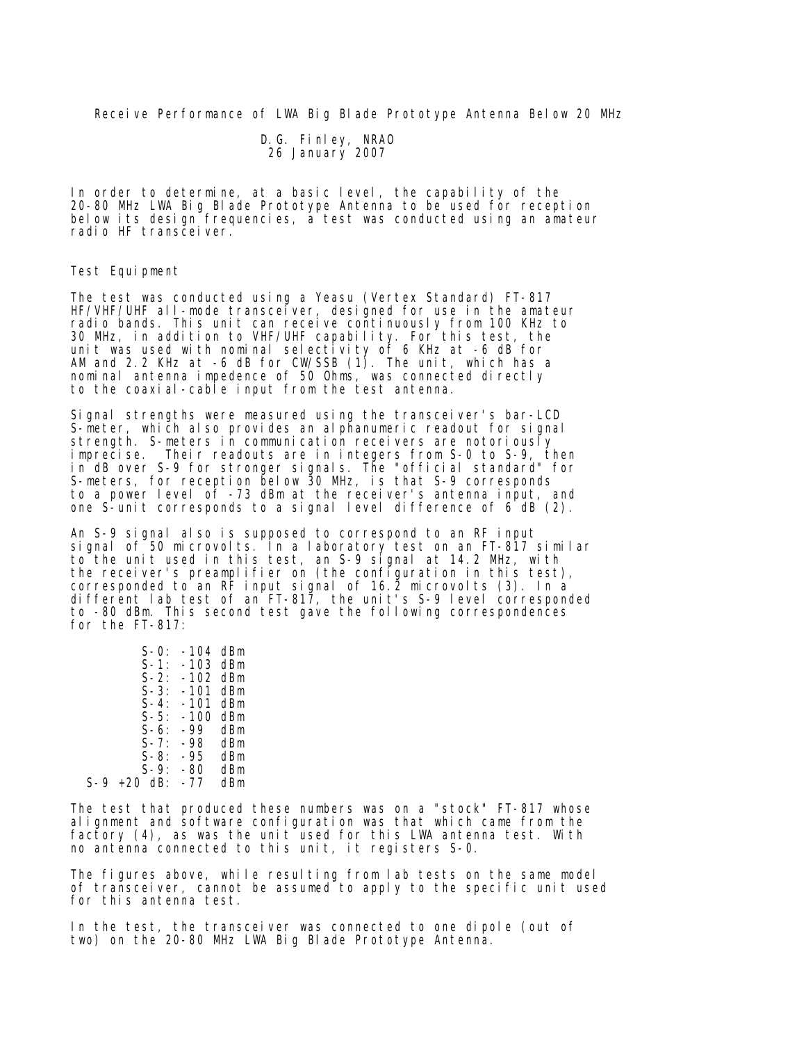Receive Performance of LWA Big Blade Prototype Antenna Below 20 MHz

 D.G. Finley, NRAO 26 January 2007

In order to determine, at a basic level, the capability of the 20-80 MHz LWA Big Blade Prototype Antenna to be used for reception below its design frequencies, a test was conducted using an amateur radio HF transceiver.

## Test Equipment

The test was conducted using a Yeasu (Vertex Standard) FT-817 HF/VHF/UHF all-mode transcelver, designed for use in the amateur radio bands. This unit can receive continuously from 100 KHz to 30 MHz, in addition to VHF/UHF capability. For this test, the unit was used with nominal selectivity of 6 KHz at -6 dB for AM and 2.2 KHz at -6 dB for CW/SSB (1). The unit, which has a nominal antenna impedence of 50 Ohms, was connected directly to the coaxial-cable input from the test antenna.

Signal strengths were measured using the transceiver's bar-LCD S-meter, which also provides an alphanumeric readout for signal strength. S-meters in communication receivers are notoriously imprecise. Their readouts are in integers from S-0 to S-9, then in dB over S-9 for stronger signals. The "official standard" for S-meters, for reception below 30 MHz, is that S-9 corresponds to a power level of -73 dBm at the receiver's antenna input, and one S-unit corresponds to a signal level difference of 6 dB (2).

An S-9 signal also is supposed to correspond to an RF input signal of 50 microvolts. In a laboratory test on an FT-817 similar to the unit used in this test, an S-9 signal at 14.2 MHz, with the receiver's preamplifier on (the configuration in this test), corresponded to an RF input signal of 16.2 microvolts (3). In a different lab test of an FT-817, the unit's S-9 level corresponded to -80 dBm. This second test gave the following correspondences for the FT-817:

| $S - 0:$      | $-104$ dBm |     |
|---------------|------------|-----|
| $S-1$ :       | -103 dBm   |     |
| $S-2$ :       | $-102$ dBm |     |
| $S-3:$        | $-101$ dBm |     |
| $S-4$ :       | -101       | dBm |
| $S-5:$        | $-100$     | dBm |
| $S-6$ :       | -99        | dBm |
| $S - 7$ :     | -98        | dBm |
| $S-8:$        | -95        | dBm |
| $S-9:$        | -80        | dBm |
| $S-9$ +20 dB: | -77        | dBm |

The test that produced these numbers was on a "stock" FT-817 whose alignment and software configuration was that which came from the factory (4), as was the unit used for this LWA antenna test. With no antenna connected to this unit, it registers S-0.

The figures above, while resulting from lab tests on the same model of transceiver, cannot be assumed to apply to the specific unit used for this antenna test.

In the test, the transceiver was connected to one dipole (out of two) on the 20-80 MHz LWA Big Blade Prototype Antenna.